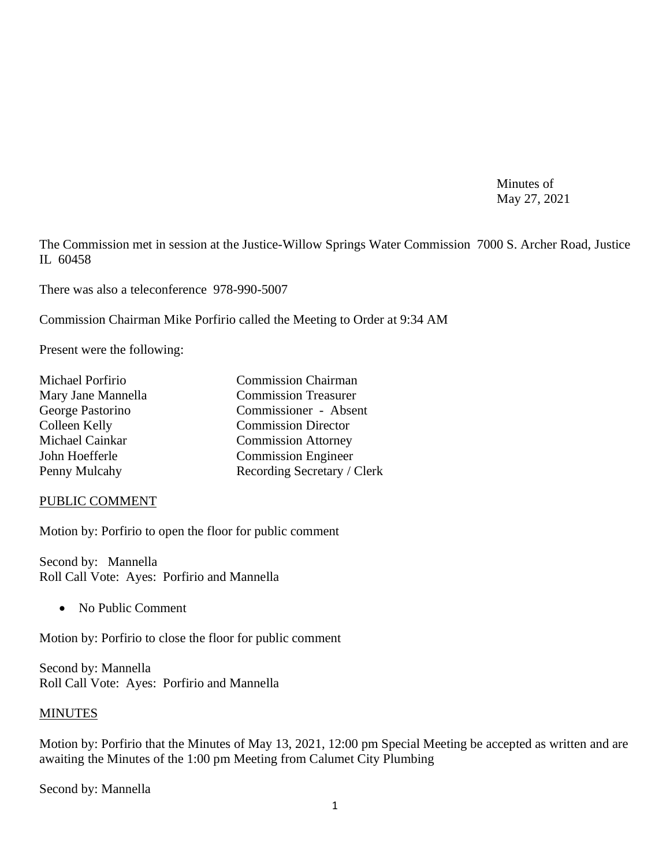Minutes of May 27, 2021

The Commission met in session at the Justice-Willow Springs Water Commission 7000 S. Archer Road, Justice IL 60458

There was also a teleconference 978-990-5007

Commission Chairman Mike Porfirio called the Meeting to Order at 9:34 AM

Present were the following:

| Michael Porfirio   | <b>Commission Chairman</b>  |
|--------------------|-----------------------------|
| Mary Jane Mannella | <b>Commission Treasurer</b> |
| George Pastorino   | Commissioner - Absent       |
| Colleen Kelly      | <b>Commission Director</b>  |
| Michael Cainkar    | <b>Commission Attorney</b>  |
| John Hoefferle     | <b>Commission Engineer</b>  |
| Penny Mulcahy      | Recording Secretary / Clerk |
|                    |                             |

#### PUBLIC COMMENT

Motion by: Porfirio to open the floor for public comment

Second by: Mannella Roll Call Vote: Ayes: Porfirio and Mannella

• No Public Comment

Motion by: Porfirio to close the floor for public comment

Second by: Mannella Roll Call Vote: Ayes: Porfirio and Mannella

#### **MINUTES**

Motion by: Porfirio that the Minutes of May 13, 2021, 12:00 pm Special Meeting be accepted as written and are awaiting the Minutes of the 1:00 pm Meeting from Calumet City Plumbing

Second by: Mannella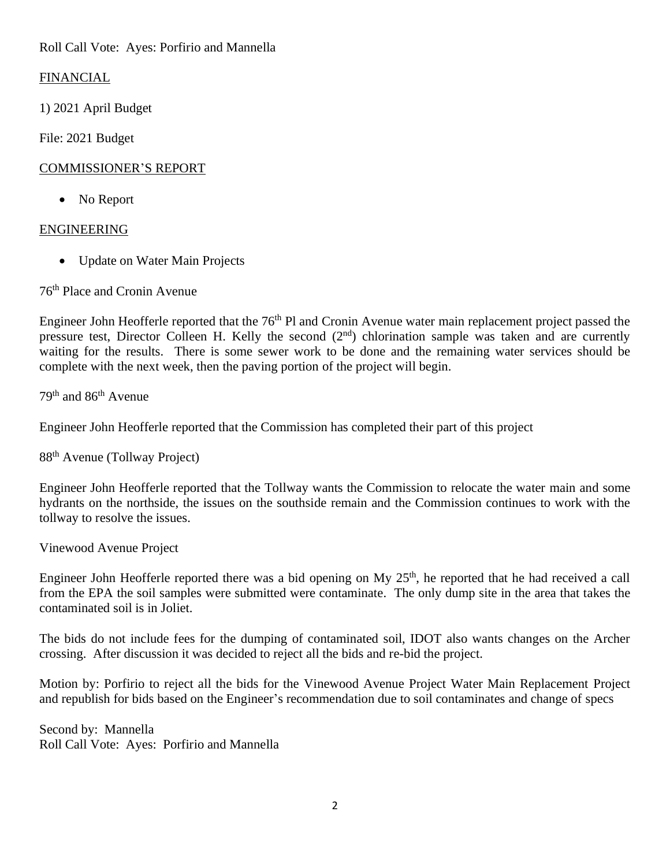Roll Call Vote: Ayes: Porfirio and Mannella

# FINANCIAL

1) 2021 April Budget

File: 2021 Budget

## COMMISSIONER'S REPORT

• No Report

# ENGINEERING

• Update on Water Main Projects

76th Place and Cronin Avenue

Engineer John Heofferle reported that the 76<sup>th</sup> Pl and Cronin Avenue water main replacement project passed the pressure test, Director Colleen H. Kelly the second  $(2<sup>nd</sup>)$  chlorination sample was taken and are currently waiting for the results. There is some sewer work to be done and the remaining water services should be complete with the next week, then the paving portion of the project will begin.

79th and 86th Avenue

Engineer John Heofferle reported that the Commission has completed their part of this project

88th Avenue (Tollway Project)

Engineer John Heofferle reported that the Tollway wants the Commission to relocate the water main and some hydrants on the northside, the issues on the southside remain and the Commission continues to work with the tollway to resolve the issues.

Vinewood Avenue Project

Engineer John Heofferle reported there was a bid opening on My 25<sup>th</sup>, he reported that he had received a call from the EPA the soil samples were submitted were contaminate. The only dump site in the area that takes the contaminated soil is in Joliet.

The bids do not include fees for the dumping of contaminated soil, IDOT also wants changes on the Archer crossing. After discussion it was decided to reject all the bids and re-bid the project.

Motion by: Porfirio to reject all the bids for the Vinewood Avenue Project Water Main Replacement Project and republish for bids based on the Engineer's recommendation due to soil contaminates and change of specs

Second by: Mannella Roll Call Vote: Ayes: Porfirio and Mannella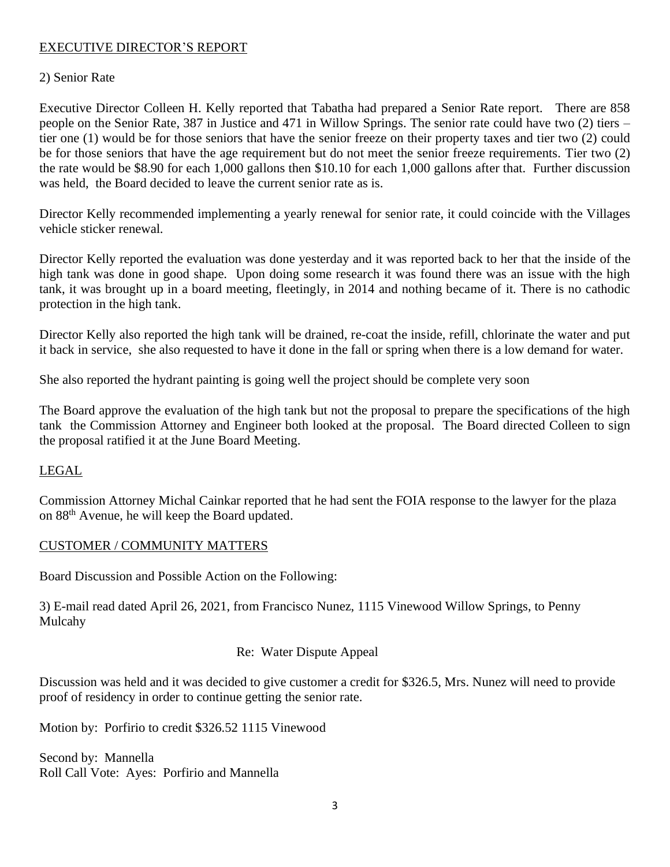### EXECUTIVE DIRECTOR'S REPORT

#### 2) Senior Rate

Executive Director Colleen H. Kelly reported that Tabatha had prepared a Senior Rate report. There are 858 people on the Senior Rate, 387 in Justice and 471 in Willow Springs. The senior rate could have two (2) tiers – tier one (1) would be for those seniors that have the senior freeze on their property taxes and tier two (2) could be for those seniors that have the age requirement but do not meet the senior freeze requirements. Tier two (2) the rate would be \$8.90 for each 1,000 gallons then \$10.10 for each 1,000 gallons after that. Further discussion was held, the Board decided to leave the current senior rate as is.

Director Kelly recommended implementing a yearly renewal for senior rate, it could coincide with the Villages vehicle sticker renewal.

Director Kelly reported the evaluation was done yesterday and it was reported back to her that the inside of the high tank was done in good shape. Upon doing some research it was found there was an issue with the high tank, it was brought up in a board meeting, fleetingly, in 2014 and nothing became of it. There is no cathodic protection in the high tank.

Director Kelly also reported the high tank will be drained, re-coat the inside, refill, chlorinate the water and put it back in service, she also requested to have it done in the fall or spring when there is a low demand for water.

She also reported the hydrant painting is going well the project should be complete very soon

The Board approve the evaluation of the high tank but not the proposal to prepare the specifications of the high tank the Commission Attorney and Engineer both looked at the proposal. The Board directed Colleen to sign the proposal ratified it at the June Board Meeting.

#### LEGAL

Commission Attorney Michal Cainkar reported that he had sent the FOIA response to the lawyer for the plaza on 88th Avenue, he will keep the Board updated.

#### CUSTOMER / COMMUNITY MATTERS

Board Discussion and Possible Action on the Following:

3) E-mail read dated April 26, 2021, from Francisco Nunez, 1115 Vinewood Willow Springs, to Penny Mulcahy

#### Re: Water Dispute Appeal

Discussion was held and it was decided to give customer a credit for \$326.5, Mrs. Nunez will need to provide proof of residency in order to continue getting the senior rate.

Motion by: Porfirio to credit \$326.52 1115 Vinewood

Second by: Mannella Roll Call Vote: Ayes: Porfirio and Mannella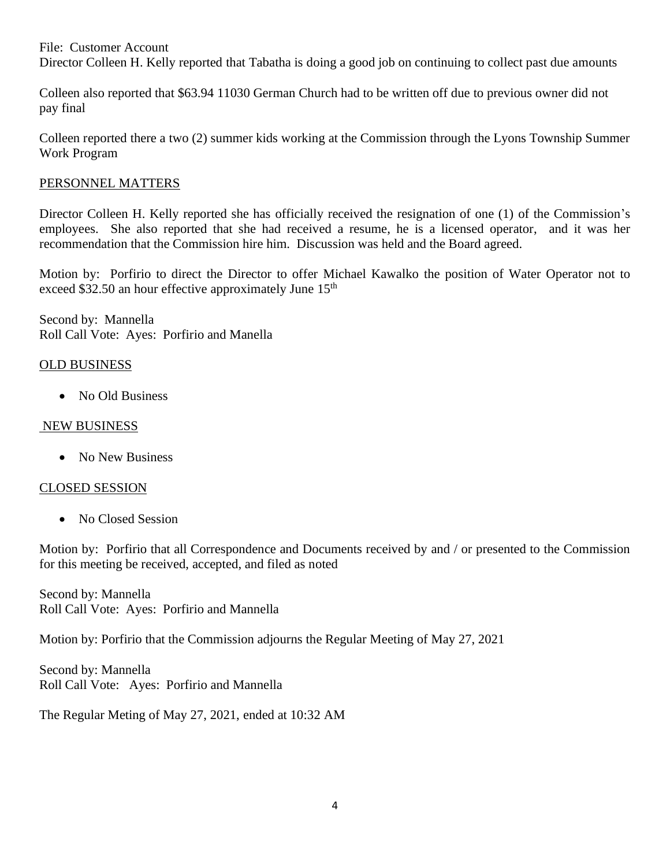File: Customer Account Director Colleen H. Kelly reported that Tabatha is doing a good job on continuing to collect past due amounts

Colleen also reported that \$63.94 11030 German Church had to be written off due to previous owner did not pay final

Colleen reported there a two (2) summer kids working at the Commission through the Lyons Township Summer Work Program

#### PERSONNEL MATTERS

Director Colleen H. Kelly reported she has officially received the resignation of one (1) of the Commission's employees. She also reported that she had received a resume, he is a licensed operator, and it was her recommendation that the Commission hire him. Discussion was held and the Board agreed.

Motion by: Porfirio to direct the Director to offer Michael Kawalko the position of Water Operator not to exceed \$32.50 an hour effective approximately June 15<sup>th</sup>

Second by: Mannella Roll Call Vote: Ayes: Porfirio and Manella

## OLD BUSINESS

• No Old Business

### NEW BUSINESS

• No New Business

# CLOSED SESSION

• No Closed Session

Motion by: Porfirio that all Correspondence and Documents received by and / or presented to the Commission for this meeting be received, accepted, and filed as noted

Second by: Mannella Roll Call Vote: Ayes: Porfirio and Mannella

Motion by: Porfirio that the Commission adjourns the Regular Meeting of May 27, 2021

Second by: Mannella Roll Call Vote: Ayes: Porfirio and Mannella

The Regular Meting of May 27, 2021, ended at 10:32 AM